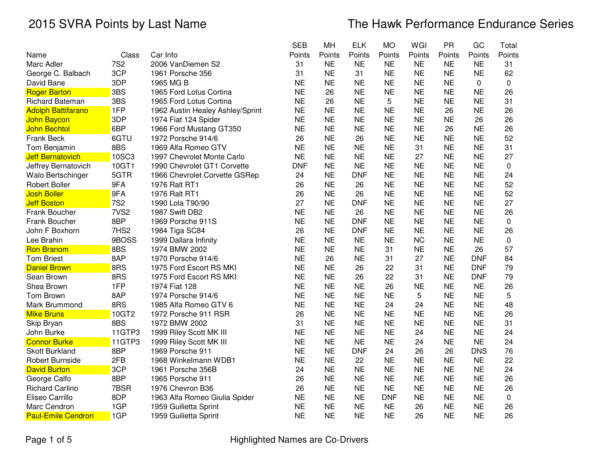|                           |                  |                                  | <b>SEB</b> | MH        | <b>ELK</b> | <b>MO</b>  | WGI       | <b>PR</b> | GC         | Total       |
|---------------------------|------------------|----------------------------------|------------|-----------|------------|------------|-----------|-----------|------------|-------------|
| Name                      | Class            | Car Info                         | Points     | Points    | Points     | Points     | Points    | Points    | Points     | Points      |
| Marc Adler                | <b>7S2</b>       | 2006 VanDiemen S2                | 31         | <b>NE</b> | <b>NE</b>  | <b>NE</b>  | <b>NE</b> | <b>NE</b> | <b>NE</b>  | 31          |
| George C. Balbach         | 3CP              | 1961 Porsche 356                 | 31         | <b>NE</b> | 31         | <b>NE</b>  | <b>NE</b> | <b>NE</b> | <b>NE</b>  | 62          |
| David Bane                | 3DP              | 1965 MG B                        | <b>NE</b>  | <b>NE</b> | <b>NE</b>  | <b>NE</b>  | <b>NE</b> | <b>NE</b> | 0          | $\mathbf 0$ |
| <b>Roger Barton</b>       | 3BS              | 1965 Ford Lotus Cortina          | <b>NE</b>  | 26        | <b>NE</b>  | <b>NE</b>  | <b>NE</b> | <b>NE</b> | <b>NE</b>  | 26          |
| Richard Bateman           | 3BS              | 1965 Ford Lotus Cortina          | <b>NE</b>  | 26        | <b>NE</b>  | 5          | <b>NE</b> | <b>NE</b> | <b>NE</b>  | 31          |
| <b>Adolph Battifarano</b> | 1FP              | 1962 Austin Healey Ashley/Sprint | <b>NE</b>  | <b>NE</b> | <b>NE</b>  | <b>NE</b>  | <b>NE</b> | 26        | <b>NE</b>  | 26          |
| <b>John Baycon</b>        | 3DP              | 1974 Fiat 124 Spider             | <b>NE</b>  | <b>NE</b> | <b>NE</b>  | <b>NE</b>  | <b>NE</b> | <b>NE</b> | 26         | 26          |
| <b>John Bechtol</b>       | 6BP              | 1966 Ford Mustang GT350          | <b>NE</b>  | <b>NE</b> | <b>NE</b>  | <b>NE</b>  | <b>NE</b> | 26        | <b>NE</b>  | 26          |
| Frank Beck                | 6GTU             | 1972 Porsche 914/6               | 26         | <b>NE</b> | 26         | <b>NE</b>  | <b>NE</b> | <b>NE</b> | <b>NE</b>  | 52          |
| Tom Benjamin              | 8BS              | 1969 Alfa Romeo GTV              | <b>NE</b>  | <b>NE</b> | <b>NE</b>  | <b>NE</b>  | 31        | <b>NE</b> | <b>NE</b>  | 31          |
| <b>Jeff Bernatovich</b>   | <b>10SC3</b>     | 1997 Chevrolet Monte Carlo       | <b>NE</b>  | <b>NE</b> | <b>NE</b>  | <b>NE</b>  | 27        | <b>NE</b> | <b>NE</b>  | 27          |
| Jeffrey Bernatovich       | 10GT1            | 1990 Chevrolet GT1 Corvette      | <b>DNF</b> | <b>NE</b> | <b>NE</b>  | <b>NE</b>  | <b>NE</b> | <b>NE</b> | <b>NE</b>  | 0           |
| Walo Bertschinger         | 5GTR             | 1966 Chevrolet Corvette GSRep    | 24         | <b>NE</b> | <b>DNF</b> | <b>NE</b>  | <b>NE</b> | <b>NE</b> | <b>NE</b>  | 24          |
| <b>Robert Boller</b>      | 9FA              | 1976 Ralt RT1                    | 26         | <b>NE</b> | 26         | <b>NE</b>  | <b>NE</b> | <b>NE</b> | <b>NE</b>  | 52          |
| <b>Josh Boller</b>        | 9FA              | 1976 Ralt RT1                    | 26         | <b>NE</b> | 26         | <b>NE</b>  | <b>NE</b> | <b>NE</b> | <b>NE</b>  | 52          |
| <b>Jeff Boston</b>        | <b>7S2</b>       | 1990 Lola T90/90                 | 27         | <b>NE</b> | <b>DNF</b> | <b>NE</b>  | <b>NE</b> | <b>NE</b> | <b>NE</b>  | 27          |
| Frank Boucher             | 7VS <sub>2</sub> | 1987 Swift DB2                   | <b>NE</b>  | <b>NE</b> | 26         | <b>NE</b>  | <b>NE</b> | <b>NE</b> | <b>NE</b>  | 26          |
| Frank Boucher             | 8BP              | 1969 Porsche 911S                | <b>NE</b>  | <b>NE</b> | <b>DNF</b> | <b>NE</b>  | <b>NE</b> | <b>NE</b> | <b>NE</b>  | 0           |
| John F Boxhorn            | 7HS <sub>2</sub> | 1984 Tiga SC84                   | 26         | <b>NE</b> | <b>DNF</b> | <b>NE</b>  | <b>NE</b> | <b>NE</b> | <b>NE</b>  | 26          |
| Lee Brahin                | 9BOSS            | 1999 Dallara Infinity            | <b>NE</b>  | <b>NE</b> | <b>NE</b>  | <b>NE</b>  | <b>NC</b> | <b>NE</b> | <b>NE</b>  | 0           |
| <b>Ron Branom</b>         | 8BS              | 1974 BMW 2002                    | <b>NE</b>  | <b>NE</b> | <b>NE</b>  | 31         | <b>NE</b> | <b>NE</b> | 26         | 57          |
| <b>Tom Briest</b>         | 8AP              | 1970 Porsche 914/6               | <b>NE</b>  | 26        | <b>NE</b>  | 31         | 27        | <b>NE</b> | <b>DNF</b> | 84          |
| <b>Daniel Brown</b>       | 8RS              | 1975 Ford Escort RS MKI          | <b>NE</b>  | <b>NE</b> | 26         | 22         | 31        | <b>NE</b> | <b>DNF</b> | 79          |
| Sean Brown                | 8RS              | 1975 Ford Escort RS MKI          | <b>NE</b>  | <b>NE</b> | 26         | 22         | 31        | <b>NE</b> | <b>DNF</b> | 79          |
| Shea Brown                | 1FP              | 1974 Fiat 128                    | <b>NE</b>  | <b>NE</b> | <b>NE</b>  | 26         | <b>NE</b> | <b>NE</b> | <b>NE</b>  | 26          |
| Tom Brown                 | 8AP              | 1974 Porsche 914/6               | <b>NE</b>  | <b>NE</b> | <b>NE</b>  | <b>NE</b>  | 5         | <b>NE</b> | <b>NE</b>  | 5           |
| Mark Brummond             | 8RS              | 1985 Alfa Romeo GTV 6            | <b>NE</b>  | <b>NE</b> | <b>NE</b>  | 24         | 24        | <b>NE</b> | <b>NE</b>  | 48          |
| <b>Mike Bruns</b>         | 10GT2            | 1972 Porsche 911 RSR             | 26         | <b>NE</b> | <b>NE</b>  | <b>NE</b>  | <b>NE</b> | <b>NE</b> | <b>NE</b>  | 26          |
| Skip Bryan                | 8BS              | 1972 BMW 2002                    | 31         | <b>NE</b> | <b>NE</b>  | <b>NE</b>  | <b>NE</b> | <b>NE</b> | <b>NE</b>  | 31          |
| John Burke                | 11GTP3           | 1999 Riley Scott MK III          | <b>NE</b>  | <b>NE</b> | <b>NE</b>  | <b>NE</b>  | 24        | <b>NE</b> | <b>NE</b>  | 24          |
| <b>Connor Burke</b>       | 11GTP3           | 1999 Riley Scott MK III          | <b>NE</b>  | <b>NE</b> | <b>NE</b>  | <b>NE</b>  | 24        | <b>NE</b> | <b>NE</b>  | 24          |
| <b>Skott Burkland</b>     | 8BP              | 1969 Porsche 911                 | <b>NE</b>  | <b>NE</b> | <b>DNF</b> | 24         | 26        | 26        | <b>DNS</b> | 76          |
| Robert Burnside           | 2FB              | 1968 Winkelmann WDB1             | <b>NE</b>  | <b>NE</b> | 22         | <b>NE</b>  | <b>NE</b> | <b>NE</b> | <b>NE</b>  | 22          |
| <b>David Burton</b>       | 3CP              | 1961 Porsche 356B                | 24         | <b>NE</b> | <b>NE</b>  | <b>NE</b>  | <b>NE</b> | <b>NE</b> | <b>NE</b>  | 24          |
| George Calfo              | 8BP              | 1965 Porsche 911                 | 26         | <b>NE</b> | <b>NE</b>  | <b>NE</b>  | <b>NE</b> | <b>NE</b> | <b>NE</b>  | 26          |
| <b>Richard Carlino</b>    | 7BSR             | 1976 Chevron B36                 | 26         | <b>NE</b> | <b>NE</b>  | <b>NE</b>  | <b>NE</b> | <b>NE</b> | <b>NE</b>  | 26          |
| Eliseo Carrillo           | 8DP              | 1963 Alfa Romeo Giulia Spider    | <b>NE</b>  | <b>NE</b> | <b>NE</b>  | <b>DNF</b> | <b>NE</b> | <b>NE</b> | <b>NE</b>  | 0           |
| Marc Cendron              | 1GP              | 1959 Guilietta Sprint            | <b>NE</b>  | <b>NE</b> | <b>NE</b>  | <b>NE</b>  | 26        | <b>NE</b> | <b>NE</b>  | 26          |
| <b>Paul-Emile Cendron</b> | 1GP              | 1959 Guilietta Sprint            | <b>NE</b>  | <b>NE</b> | <b>NE</b>  | <b>NE</b>  | 26        | <b>NE</b> | <b>NE</b>  | 26          |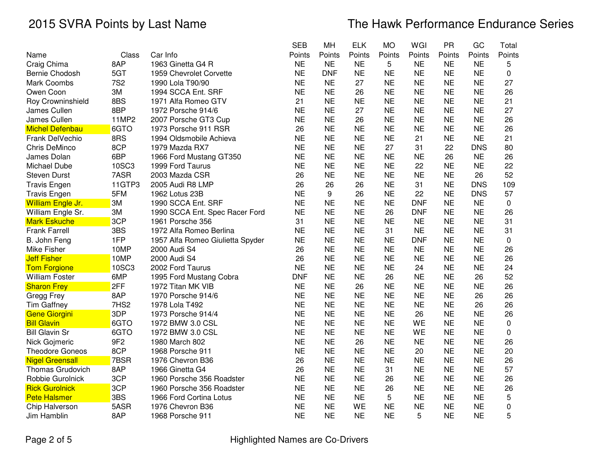|                        |                 |                                  | <b>SEB</b> | MH         | <b>ELK</b> | <b>MO</b> | WGI        | <b>PR</b> | GC         | Total       |
|------------------------|-----------------|----------------------------------|------------|------------|------------|-----------|------------|-----------|------------|-------------|
| Name                   | Class           | Car Info                         | Points     | Points     | Points     | Points    | Points     | Points    | Points     | Points      |
| Craig Chima            | 8AP             | 1963 Ginetta G4 R                | <b>NE</b>  | <b>NE</b>  | <b>NE</b>  | 5         | <b>NE</b>  | <b>NE</b> | <b>NE</b>  | 5           |
| Bernie Chodosh         | 5GT             | 1959 Chevrolet Corvette          | <b>NE</b>  | <b>DNF</b> | <b>NE</b>  | <b>NE</b> | <b>NE</b>  | <b>NE</b> | <b>NE</b>  | 0           |
| <b>Mark Coombs</b>     | <b>7S2</b>      | 1990 Lola T90/90                 | <b>NE</b>  | <b>NE</b>  | 27         | <b>NE</b> | <b>NE</b>  | <b>NE</b> | <b>NE</b>  | 27          |
| Owen Coon              | 3M              | 1994 SCCA Ent. SRF               | <b>NE</b>  | <b>NE</b>  | 26         | <b>NE</b> | <b>NE</b>  | <b>NE</b> | <b>NE</b>  | 26          |
| Roy Crowninshield      | 8BS             | 1971 Alfa Romeo GTV              | 21         | <b>NE</b>  | <b>NE</b>  | <b>NE</b> | <b>NE</b>  | <b>NE</b> | <b>NE</b>  | 21          |
| James Cullen           | 8BP             | 1972 Porsche 914/6               | <b>NE</b>  | <b>NE</b>  | 27         | <b>NE</b> | <b>NE</b>  | <b>NE</b> | <b>NE</b>  | 27          |
| James Cullen           | 11MP2           | 2007 Porsche GT3 Cup             | <b>NE</b>  | <b>NE</b>  | 26         | <b>NE</b> | <b>NE</b>  | <b>NE</b> | <b>NE</b>  | 26          |
| <b>Michel Defenbau</b> | 6GTO            | 1973 Porsche 911 RSR             | 26         | <b>NE</b>  | <b>NE</b>  | <b>NE</b> | <b>NE</b>  | <b>NE</b> | <b>NE</b>  | 26          |
| Frank DelVechio        | 8RS             | 1994 Oldsmobile Achieva          | <b>NE</b>  | <b>NE</b>  | <b>NE</b>  | <b>NE</b> | 21         | <b>NE</b> | <b>NE</b>  | 21          |
| <b>Chris DeMinco</b>   | 8CP             | 1979 Mazda RX7                   | <b>NE</b>  | <b>NE</b>  | <b>NE</b>  | 27        | 31         | 22        | <b>DNS</b> | 80          |
| James Dolan            | 6BP             | 1966 Ford Mustang GT350          | <b>NE</b>  | <b>NE</b>  | <b>NE</b>  | <b>NE</b> | <b>NE</b>  | 26        | <b>NE</b>  | 26          |
| Michael Dube           | 10SC3           | 1999 Ford Taurus                 | <b>NE</b>  | <b>NE</b>  | <b>NE</b>  | <b>NE</b> | 22         | <b>NE</b> | <b>NE</b>  | 22          |
| <b>Steven Durst</b>    | 7ASR            | 2003 Mazda CSR                   | 26         | <b>NE</b>  | <b>NE</b>  | <b>NE</b> | <b>NE</b>  | <b>NE</b> | 26         | 52          |
| <b>Travis Engen</b>    | 11GTP3          | 2005 Audi R8 LMP                 | 26         | 26         | 26         | <b>NE</b> | 31         | <b>NE</b> | <b>DNS</b> | 109         |
| <b>Travis Engen</b>    | 5FM             | 1962 Lotus 23B                   | <b>NE</b>  | 9          | 26         | <b>NE</b> | 22         | <b>NE</b> | <b>DNS</b> | 57          |
| William Engle Jr.      | 3M              | 1990 SCCA Ent. SRF               | <b>NE</b>  | <b>NE</b>  | <b>NE</b>  | <b>NE</b> | <b>DNF</b> | <b>NE</b> | <b>NE</b>  | $\mathbf 0$ |
| William Engle Sr.      | 3M              | 1990 SCCA Ent. Spec Racer Ford   | <b>NE</b>  | <b>NE</b>  | <b>NE</b>  | 26        | <b>DNF</b> | <b>NE</b> | <b>NE</b>  | 26          |
| <b>Mark Eskuche</b>    | 3CP             | 1961 Porsche 356                 | 31         | <b>NE</b>  | <b>NE</b>  | <b>NE</b> | <b>NE</b>  | <b>NE</b> | <b>NE</b>  | 31          |
| <b>Frank Farrell</b>   | 3BS             | 1972 Alfa Romeo Berlina          | <b>NE</b>  | <b>NE</b>  | <b>NE</b>  | 31        | <b>NE</b>  | <b>NE</b> | <b>NE</b>  | 31          |
| B. John Feng           | 1FP             | 1957 Alfa Romeo Giulietta Spyder | <b>NE</b>  | <b>NE</b>  | <b>NE</b>  | <b>NE</b> | <b>DNF</b> | <b>NE</b> | <b>NE</b>  | $\mathbf 0$ |
| Mike Fisher            | 10MP            | 2000 Audi S4                     | 26         | <b>NE</b>  | <b>NE</b>  | <b>NE</b> | <b>NE</b>  | <b>NE</b> | <b>NE</b>  | 26          |
| <b>Jeff Fisher</b>     | 10MP            | 2000 Audi S4                     | 26         | <b>NE</b>  | <b>NE</b>  | <b>NE</b> | <b>NE</b>  | <b>NE</b> | <b>NE</b>  | 26          |
| <b>Tom Forgione</b>    | 10SC3           | 2002 Ford Taurus                 | <b>NE</b>  | <b>NE</b>  | <b>NE</b>  | <b>NE</b> | 24         | <b>NE</b> | <b>NE</b>  | 24          |
| <b>William Foster</b>  | 6MP             | 1995 Ford Mustang Cobra          | <b>DNF</b> | <b>NE</b>  | <b>NE</b>  | 26        | <b>NE</b>  | <b>NE</b> | 26         | 52          |
| <b>Sharon Frey</b>     | 2FF             | 1972 Titan MK VIB                | <b>NE</b>  | <b>NE</b>  | 26         | <b>NE</b> | <b>NE</b>  | <b>NE</b> | <b>NE</b>  | 26          |
| Gregg Frey             | 8AP             | 1970 Porsche 914/6               | <b>NE</b>  | <b>NE</b>  | <b>NE</b>  | <b>NE</b> | <b>NE</b>  | <b>NE</b> | 26         | 26          |
| <b>Tim Gaffney</b>     | 7HS2            | 1978 Lola T492                   | <b>NE</b>  | <b>NE</b>  | <b>NE</b>  | <b>NE</b> | <b>NE</b>  | <b>NE</b> | 26         | 26          |
| Gene Giorgini          | 3DP             | 1973 Porsche 914/4               | <b>NE</b>  | <b>NE</b>  | <b>NE</b>  | <b>NE</b> | 26         | <b>NE</b> | <b>NE</b>  | 26          |
| <b>Bill Glavin</b>     | 6GTO            | 1972 BMW 3.0 CSL                 | <b>NE</b>  | <b>NE</b>  | <b>NE</b>  | <b>NE</b> | WE         | <b>NE</b> | <b>NE</b>  | $\mathbf 0$ |
| <b>Bill Glavin Sr</b>  | 6GTO            | 1972 BMW 3.0 CSL                 | <b>NE</b>  | <b>NE</b>  | <b>NE</b>  | <b>NE</b> | WE         | <b>NE</b> | <b>NE</b>  | 0           |
| Nick Gojmeric          | 9F <sub>2</sub> | 1980 March 802                   | <b>NE</b>  | <b>NE</b>  | 26         | <b>NE</b> | <b>NE</b>  | <b>NE</b> | <b>NE</b>  | 26          |
| <b>Theodore Goneos</b> | 8CP             | 1968 Porsche 911                 | <b>NE</b>  | <b>NE</b>  | <b>NE</b>  | <b>NE</b> | 20         | <b>NE</b> | <b>NE</b>  | 20          |
| <b>Nigel Greensall</b> | 7BSR            | 1976 Chevron B36                 | 26         | <b>NE</b>  | <b>NE</b>  | <b>NE</b> | <b>NE</b>  | <b>NE</b> | <b>NE</b>  | 26          |
| Thomas Grudovich       | 8AP             | 1966 Ginetta G4                  | 26         | <b>NE</b>  | <b>NE</b>  | 31        | <b>NE</b>  | <b>NE</b> | <b>NE</b>  | 57          |
| Robbie Gurolnick       | 3CP             | 1960 Porsche 356 Roadster        | <b>NE</b>  | <b>NE</b>  | <b>NE</b>  | 26        | <b>NE</b>  | <b>NE</b> | <b>NE</b>  | 26          |
| <b>Rick Gurolnick</b>  | 3CP             | 1960 Porsche 356 Roadster        | <b>NE</b>  | <b>NE</b>  | <b>NE</b>  | 26        | <b>NE</b>  | <b>NE</b> | <b>NE</b>  | 26          |
| <b>Pete Halsmer</b>    | 3BS             | 1966 Ford Cortina Lotus          | <b>NE</b>  | <b>NE</b>  | <b>NE</b>  | 5         | <b>NE</b>  | <b>NE</b> | <b>NE</b>  | 5           |
| Chip Halverson         | 5ASR            | 1976 Chevron B36                 | <b>NE</b>  | <b>NE</b>  | WE         | <b>NE</b> | <b>NE</b>  | <b>NE</b> | <b>NE</b>  | 0           |
| Jim Hamblin            | 8AP             | 1968 Porsche 911                 | <b>NE</b>  | <b>NE</b>  | <b>NE</b>  | <b>NE</b> | 5          | <b>NE</b> | <b>NE</b>  | 5           |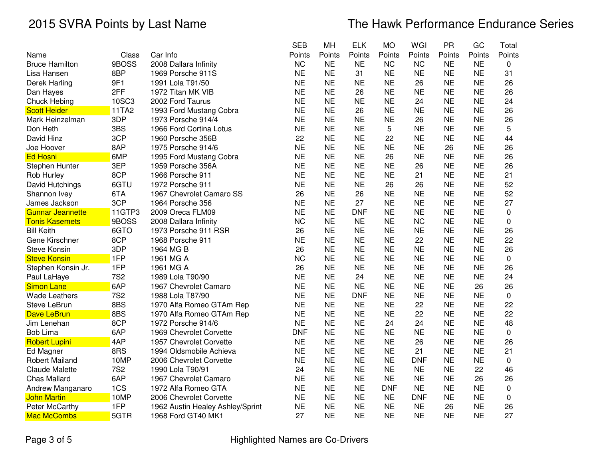|                         |            |                                  | <b>SEB</b> | MH        | <b>ELK</b> | <b>MO</b>  | WGI        | <b>PR</b> | GC        | Total     |
|-------------------------|------------|----------------------------------|------------|-----------|------------|------------|------------|-----------|-----------|-----------|
| Name                    | Class      | Car Info                         | Points     | Points    | Points     | Points     | Points     | Points    | Points    | Points    |
| <b>Bruce Hamilton</b>   | 9BOSS      | 2008 Dallara Infinity            | <b>NC</b>  | <b>NE</b> | <b>NE</b>  | <b>NC</b>  | <b>NC</b>  | <b>NE</b> | <b>NE</b> | 0         |
| Lisa Hansen             | 8BP        | 1969 Porsche 911S                | <b>NE</b>  | <b>NE</b> | 31         | <b>NE</b>  | <b>NE</b>  | <b>NE</b> | <b>NE</b> | 31        |
| Derek Harling           | 9F1        | 1991 Lola T91/50                 | <b>NE</b>  | <b>NE</b> | <b>NE</b>  | <b>NE</b>  | 26         | <b>NE</b> | <b>NE</b> | 26        |
| Dan Hayes               | 2FF        | 1972 Titan MK VIB                | <b>NE</b>  | <b>NE</b> | 26         | <b>NE</b>  | <b>NE</b>  | <b>NE</b> | <b>NE</b> | 26        |
| Chuck Hebing            | 10SC3      | 2002 Ford Taurus                 | <b>NE</b>  | <b>NE</b> | <b>NE</b>  | <b>NE</b>  | 24         | <b>NE</b> | <b>NE</b> | 24        |
| <b>Scott Heider</b>     | 11TA2      | 1993 Ford Mustang Cobra          | <b>NE</b>  | <b>NE</b> | 26         | <b>NE</b>  | <b>NE</b>  | <b>NE</b> | <b>NE</b> | 26        |
| Mark Heinzelman         | 3DP        | 1973 Porsche 914/4               | <b>NE</b>  | <b>NE</b> | <b>NE</b>  | <b>NE</b>  | 26         | <b>NE</b> | <b>NE</b> | 26        |
| Don Heth                | 3BS        | 1966 Ford Cortina Lotus          | <b>NE</b>  | <b>NE</b> | <b>NE</b>  | 5          | <b>NE</b>  | <b>NE</b> | <b>NE</b> | 5         |
| David Hinz              | 3CP        | 1960 Porsche 356B                | 22         | <b>NE</b> | <b>NE</b>  | 22         | <b>NE</b>  | <b>NE</b> | <b>NE</b> | 44        |
| Joe Hoover              | 8AP        | 1975 Porsche 914/6               | <b>NE</b>  | <b>NE</b> | <b>NE</b>  | <b>NE</b>  | <b>NE</b>  | 26        | <b>NE</b> | 26        |
| <b>Ed Hosni</b>         | 6MP        | 1995 Ford Mustang Cobra          | <b>NE</b>  | <b>NE</b> | <b>NE</b>  | 26         | <b>NE</b>  | <b>NE</b> | <b>NE</b> | 26        |
| Stephen Hunter          | 3EP        | 1959 Porsche 356A                | <b>NE</b>  | <b>NE</b> | <b>NE</b>  | <b>NE</b>  | 26         | <b>NE</b> | <b>NE</b> | 26        |
| Rob Hurley              | 8CP        | 1966 Porsche 911                 | <b>NE</b>  | <b>NE</b> | <b>NE</b>  | <b>NE</b>  | 21         | <b>NE</b> | <b>NE</b> | 21        |
| David Hutchings         | 6GTU       | 1972 Porsche 911                 | <b>NE</b>  | <b>NE</b> | <b>NE</b>  | 26         | 26         | <b>NE</b> | <b>NE</b> | 52        |
| Shannon Ivey            | 6TA        | 1967 Chevrolet Camaro SS         | 26         | <b>NE</b> | 26         | <b>NE</b>  | <b>NE</b>  | <b>NE</b> | <b>NE</b> | 52        |
| James Jackson           | 3CP        | 1964 Porsche 356                 | <b>NE</b>  | <b>NE</b> | 27         | <b>NE</b>  | <b>NE</b>  | <b>NE</b> | <b>NE</b> | 27        |
| <b>Gunnar Jeannette</b> | 11GTP3     | 2009 Oreca FLM09                 | <b>NE</b>  | <b>NE</b> | <b>DNF</b> | <b>NE</b>  | <b>NE</b>  | <b>NE</b> | <b>NE</b> | 0         |
| <b>Tonis Kasemets</b>   | 9BOSS      | 2008 Dallara Infinity            | <b>NC</b>  | <b>NE</b> | <b>NE</b>  | <b>NE</b>  | <b>NC</b>  | <b>NE</b> | <b>NE</b> | 0         |
| <b>Bill Keith</b>       | 6GTO       | 1973 Porsche 911 RSR             | 26         | <b>NE</b> | <b>NE</b>  | <b>NE</b>  | <b>NE</b>  | <b>NE</b> | <b>NE</b> | 26        |
| Gene Kirschner          | 8CP        | 1968 Porsche 911                 | <b>NE</b>  | <b>NE</b> | <b>NE</b>  | <b>NE</b>  | 22         | <b>NE</b> | <b>NE</b> | 22        |
| Steve Konsin            | 3DP        | 1964 MG B                        | 26         | <b>NE</b> | <b>NE</b>  | <b>NE</b>  | <b>NE</b>  | <b>NE</b> | <b>NE</b> | 26        |
| <b>Steve Konsin</b>     | 1FP        | 1961 MG A                        | <b>NC</b>  | <b>NE</b> | <b>NE</b>  | <b>NE</b>  | <b>NE</b>  | <b>NE</b> | <b>NE</b> | $\pmb{0}$ |
| Stephen Konsin Jr.      | 1FP        | 1961 MG A                        | 26         | <b>NE</b> | <b>NE</b>  | <b>NE</b>  | <b>NE</b>  | <b>NE</b> | <b>NE</b> | 26        |
| Paul LaHaye             | <b>7S2</b> | 1989 Lola T90/90                 | <b>NE</b>  | <b>NE</b> | 24         | <b>NE</b>  | <b>NE</b>  | <b>NE</b> | <b>NE</b> | 24        |
| <b>Simon Lane</b>       | 6AP        | 1967 Chevrolet Camaro            | <b>NE</b>  | <b>NE</b> | <b>NE</b>  | <b>NE</b>  | <b>NE</b>  | <b>NE</b> | 26        | 26        |
| <b>Wade Leathers</b>    | <b>7S2</b> | 1988 Lola T87/90                 | <b>NE</b>  | <b>NE</b> | <b>DNF</b> | <b>NE</b>  | <b>NE</b>  | <b>NE</b> | <b>NE</b> | $\pmb{0}$ |
| <b>Steve LeBrun</b>     | 8BS        | 1970 Alfa Romeo GTAm Rep         | <b>NE</b>  | <b>NE</b> | <b>NE</b>  | <b>NE</b>  | 22         | <b>NE</b> | <b>NE</b> | 22        |
| <b>Dave LeBrun</b>      | 8BS        | 1970 Alfa Romeo GTAm Rep         | <b>NE</b>  | <b>NE</b> | <b>NE</b>  | <b>NE</b>  | 22         | <b>NE</b> | <b>NE</b> | 22        |
| Jim Lenehan             | 8CP        | 1972 Porsche 914/6               | <b>NE</b>  | <b>NE</b> | <b>NE</b>  | 24         | 24         | <b>NE</b> | <b>NE</b> | 48        |
| <b>Bob Lima</b>         | 6AP        | 1969 Chevrolet Corvette          | <b>DNF</b> | <b>NE</b> | <b>NE</b>  | <b>NE</b>  | <b>NE</b>  | <b>NE</b> | <b>NE</b> | 0         |
| <b>Robert Lupini</b>    | 4AP        | 1957 Chevrolet Corvette          | <b>NE</b>  | <b>NE</b> | <b>NE</b>  | <b>NE</b>  | 26         | <b>NE</b> | <b>NE</b> | 26        |
| Ed Magner               | 8RS        | 1994 Oldsmobile Achieva          | <b>NE</b>  | <b>NE</b> | <b>NE</b>  | <b>NE</b>  | 21         | <b>NE</b> | <b>NE</b> | 21        |
| <b>Robert Mailand</b>   | 10MP       | 2006 Chevrolet Corvette          | <b>NE</b>  | <b>NE</b> | <b>NE</b>  | <b>NE</b>  | <b>DNF</b> | <b>NE</b> | <b>NE</b> | 0         |
| <b>Claude Malette</b>   | <b>7S2</b> | 1990 Lola T90/91                 | 24         | <b>NE</b> | <b>NE</b>  | <b>NE</b>  | <b>NE</b>  | <b>NE</b> | 22        | 46        |
| <b>Chas Mallard</b>     | 6AP        | 1967 Chevrolet Camaro            | <b>NE</b>  | <b>NE</b> | <b>NE</b>  | <b>NE</b>  | <b>NE</b>  | <b>NE</b> | 26        | 26        |
| Andrew Manganaro        | 1CS        | 1972 Alfa Romeo GTA              | <b>NE</b>  | <b>NE</b> | <b>NE</b>  | <b>DNF</b> | <b>NE</b>  | <b>NE</b> | <b>NE</b> | 0         |
| <b>John Martin</b>      | 10MP       | 2006 Chevrolet Corvette          | <b>NE</b>  | <b>NE</b> | <b>NE</b>  | <b>NE</b>  | <b>DNF</b> | <b>NE</b> | <b>NE</b> | 0         |
| Peter McCarthy          | 1FP        | 1962 Austin Healey Ashley/Sprint | <b>NE</b>  | <b>NE</b> | <b>NE</b>  | <b>NE</b>  | <b>NE</b>  | 26        | <b>NE</b> | 26        |
| <b>Mac McCombs</b>      | 5GTR       | 1968 Ford GT40 MK1               | 27         | <b>NE</b> | <b>NE</b>  | <b>NE</b>  | <b>NE</b>  | <b>NE</b> | <b>NE</b> | 27        |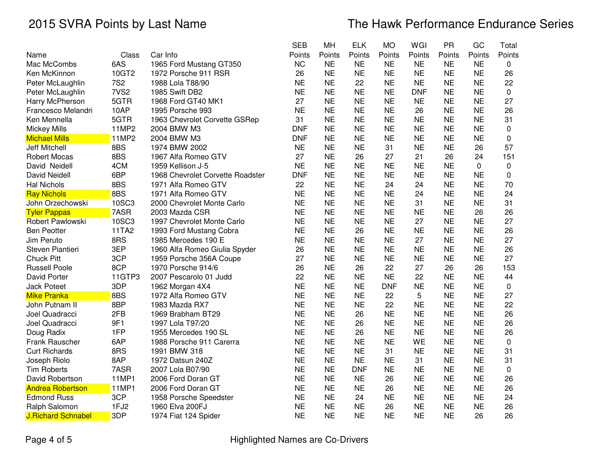|                  |                                                                                                                                   | <b>SEB</b>                                                                   | MH                                                                                                                                                                                             | <b>ELK</b>                                                                                                                                                                                                                | <b>MO</b>                                                                                                                            | WGI                                                                                                                                                                       | <b>PR</b>                                                                                                                     | GC                                                                                                                                                                                              | Total                                                                                                                                                          |
|------------------|-----------------------------------------------------------------------------------------------------------------------------------|------------------------------------------------------------------------------|------------------------------------------------------------------------------------------------------------------------------------------------------------------------------------------------|---------------------------------------------------------------------------------------------------------------------------------------------------------------------------------------------------------------------------|--------------------------------------------------------------------------------------------------------------------------------------|---------------------------------------------------------------------------------------------------------------------------------------------------------------------------|-------------------------------------------------------------------------------------------------------------------------------|-------------------------------------------------------------------------------------------------------------------------------------------------------------------------------------------------|----------------------------------------------------------------------------------------------------------------------------------------------------------------|
| Class            | Car Info                                                                                                                          | Points                                                                       | Points                                                                                                                                                                                         | Points                                                                                                                                                                                                                    | Points                                                                                                                               | Points                                                                                                                                                                    | Points                                                                                                                        | Points                                                                                                                                                                                          | Points                                                                                                                                                         |
| 6AS              | 1965 Ford Mustang GT350                                                                                                           | <b>NC</b>                                                                    | <b>NE</b>                                                                                                                                                                                      | <b>NE</b>                                                                                                                                                                                                                 | <b>NE</b>                                                                                                                            | <b>NE</b>                                                                                                                                                                 | <b>NE</b>                                                                                                                     | <b>NE</b>                                                                                                                                                                                       | 0                                                                                                                                                              |
| 10GT2            | 1972 Porsche 911 RSR                                                                                                              | 26                                                                           | <b>NE</b>                                                                                                                                                                                      | <b>NE</b>                                                                                                                                                                                                                 | <b>NE</b>                                                                                                                            | <b>NE</b>                                                                                                                                                                 | <b>NE</b>                                                                                                                     | <b>NE</b>                                                                                                                                                                                       | 26                                                                                                                                                             |
| <b>7S2</b>       | 1988 Lola T88/90                                                                                                                  | <b>NE</b>                                                                    | <b>NE</b>                                                                                                                                                                                      | 22                                                                                                                                                                                                                        | <b>NE</b>                                                                                                                            | <b>NE</b>                                                                                                                                                                 | <b>NE</b>                                                                                                                     | <b>NE</b>                                                                                                                                                                                       | 22                                                                                                                                                             |
| 7VS <sub>2</sub> | 1985 Swift DB2                                                                                                                    | <b>NE</b>                                                                    | <b>NE</b>                                                                                                                                                                                      | <b>NE</b>                                                                                                                                                                                                                 | <b>NE</b>                                                                                                                            | <b>DNF</b>                                                                                                                                                                | <b>NE</b>                                                                                                                     | <b>NE</b>                                                                                                                                                                                       | $\mathbf 0$                                                                                                                                                    |
| 5GTR             | 1968 Ford GT40 MK1                                                                                                                | 27                                                                           | <b>NE</b>                                                                                                                                                                                      | <b>NE</b>                                                                                                                                                                                                                 | <b>NE</b>                                                                                                                            | <b>NE</b>                                                                                                                                                                 | <b>NE</b>                                                                                                                     | <b>NE</b>                                                                                                                                                                                       | 27                                                                                                                                                             |
| 10AP             | 1995 Porsche 993                                                                                                                  | <b>NE</b>                                                                    | <b>NE</b>                                                                                                                                                                                      | <b>NE</b>                                                                                                                                                                                                                 | <b>NE</b>                                                                                                                            | 26                                                                                                                                                                        | <b>NE</b>                                                                                                                     | <b>NE</b>                                                                                                                                                                                       | 26                                                                                                                                                             |
| 5GTR             | 1963 Chevrolet Corvette GSRep                                                                                                     | 31                                                                           | <b>NE</b>                                                                                                                                                                                      | <b>NE</b>                                                                                                                                                                                                                 | <b>NE</b>                                                                                                                            | <b>NE</b>                                                                                                                                                                 | <b>NE</b>                                                                                                                     | <b>NE</b>                                                                                                                                                                                       | 31                                                                                                                                                             |
| 11MP2            | 2004 BMW M3                                                                                                                       | <b>DNF</b>                                                                   | <b>NE</b>                                                                                                                                                                                      | <b>NE</b>                                                                                                                                                                                                                 | <b>NE</b>                                                                                                                            | <b>NE</b>                                                                                                                                                                 | <b>NE</b>                                                                                                                     | <b>NE</b>                                                                                                                                                                                       | $\pmb{0}$                                                                                                                                                      |
| 11MP2            | 2004 BMW M3                                                                                                                       | <b>DNF</b>                                                                   | <b>NE</b>                                                                                                                                                                                      | <b>NE</b>                                                                                                                                                                                                                 | <b>NE</b>                                                                                                                            | <b>NE</b>                                                                                                                                                                 | <b>NE</b>                                                                                                                     | <b>NE</b>                                                                                                                                                                                       | $\mathbf 0$                                                                                                                                                    |
| 8BS              | 1974 BMW 2002                                                                                                                     | <b>NE</b>                                                                    | <b>NE</b>                                                                                                                                                                                      | <b>NE</b>                                                                                                                                                                                                                 | 31                                                                                                                                   | <b>NE</b>                                                                                                                                                                 | <b>NE</b>                                                                                                                     | 26                                                                                                                                                                                              | 57                                                                                                                                                             |
| 8BS              | 1967 Alfa Romeo GTV                                                                                                               | 27                                                                           | <b>NE</b>                                                                                                                                                                                      | 26                                                                                                                                                                                                                        | 27                                                                                                                                   | 21                                                                                                                                                                        | 26                                                                                                                            | 24                                                                                                                                                                                              | 151                                                                                                                                                            |
| 4CM              | 1959 Kellison J-5                                                                                                                 | <b>NE</b>                                                                    | <b>NE</b>                                                                                                                                                                                      | <b>NE</b>                                                                                                                                                                                                                 | <b>NE</b>                                                                                                                            | <b>NE</b>                                                                                                                                                                 | <b>NE</b>                                                                                                                     | 0                                                                                                                                                                                               | 0                                                                                                                                                              |
| 6BP              | 1968 Chevrolet Corvette Roadster                                                                                                  | <b>DNF</b>                                                                   | <b>NE</b>                                                                                                                                                                                      | <b>NE</b>                                                                                                                                                                                                                 | <b>NE</b>                                                                                                                            | <b>NE</b>                                                                                                                                                                 | <b>NE</b>                                                                                                                     | <b>NE</b>                                                                                                                                                                                       | 0                                                                                                                                                              |
| 8BS              | 1971 Alfa Romeo GTV                                                                                                               | 22                                                                           | <b>NE</b>                                                                                                                                                                                      | <b>NE</b>                                                                                                                                                                                                                 | 24                                                                                                                                   | 24                                                                                                                                                                        | <b>NE</b>                                                                                                                     | <b>NE</b>                                                                                                                                                                                       | 70                                                                                                                                                             |
| 8BS              | 1971 Alfa Romeo GTV                                                                                                               | <b>NE</b>                                                                    | <b>NE</b>                                                                                                                                                                                      | <b>NE</b>                                                                                                                                                                                                                 | <b>NE</b>                                                                                                                            | 24                                                                                                                                                                        | <b>NE</b>                                                                                                                     | <b>NE</b>                                                                                                                                                                                       | 24                                                                                                                                                             |
| 10SC3            | 2000 Chevrolet Monte Carlo                                                                                                        | <b>NE</b>                                                                    | <b>NE</b>                                                                                                                                                                                      | <b>NE</b>                                                                                                                                                                                                                 | <b>NE</b>                                                                                                                            | 31                                                                                                                                                                        | <b>NE</b>                                                                                                                     | <b>NE</b>                                                                                                                                                                                       | 31                                                                                                                                                             |
|                  | 2003 Mazda CSR                                                                                                                    | <b>NE</b>                                                                    | <b>NE</b>                                                                                                                                                                                      | <b>NE</b>                                                                                                                                                                                                                 | <b>NE</b>                                                                                                                            | <b>NE</b>                                                                                                                                                                 | <b>NE</b>                                                                                                                     | 26                                                                                                                                                                                              | 26                                                                                                                                                             |
| 10SC3            | 1997 Chevrolet Monte Carlo                                                                                                        |                                                                              |                                                                                                                                                                                                | <b>NE</b>                                                                                                                                                                                                                 |                                                                                                                                      | 27                                                                                                                                                                        |                                                                                                                               | <b>NE</b>                                                                                                                                                                                       | 27                                                                                                                                                             |
| 11TA2            | 1993 Ford Mustang Cobra                                                                                                           | <b>NE</b>                                                                    | <b>NE</b>                                                                                                                                                                                      | 26                                                                                                                                                                                                                        | <b>NE</b>                                                                                                                            | <b>NE</b>                                                                                                                                                                 | <b>NE</b>                                                                                                                     | <b>NE</b>                                                                                                                                                                                       | 26                                                                                                                                                             |
| 8RS              | 1985 Mercedes 190 E                                                                                                               | <b>NE</b>                                                                    | <b>NE</b>                                                                                                                                                                                      | <b>NE</b>                                                                                                                                                                                                                 | <b>NE</b>                                                                                                                            | 27                                                                                                                                                                        | <b>NE</b>                                                                                                                     | <b>NE</b>                                                                                                                                                                                       | 27                                                                                                                                                             |
|                  | 1960 Alfa Romeo Giulia Spyder                                                                                                     | 26                                                                           | <b>NE</b>                                                                                                                                                                                      | <b>NE</b>                                                                                                                                                                                                                 | <b>NE</b>                                                                                                                            | <b>NE</b>                                                                                                                                                                 | <b>NE</b>                                                                                                                     | <b>NE</b>                                                                                                                                                                                       | 26                                                                                                                                                             |
|                  | 1959 Porsche 356A Coupe                                                                                                           |                                                                              |                                                                                                                                                                                                | <b>NE</b>                                                                                                                                                                                                                 |                                                                                                                                      | <b>NE</b>                                                                                                                                                                 | <b>NE</b>                                                                                                                     | <b>NE</b>                                                                                                                                                                                       | 27                                                                                                                                                             |
|                  | 1970 Porsche 914/6                                                                                                                | 26                                                                           |                                                                                                                                                                                                | 26                                                                                                                                                                                                                        |                                                                                                                                      | 27                                                                                                                                                                        | 26                                                                                                                            | 26                                                                                                                                                                                              | 153                                                                                                                                                            |
|                  | 2007 Pescarolo 01 Judd                                                                                                            |                                                                              |                                                                                                                                                                                                |                                                                                                                                                                                                                           |                                                                                                                                      |                                                                                                                                                                           |                                                                                                                               |                                                                                                                                                                                                 | 44                                                                                                                                                             |
|                  | 1962 Morgan 4X4                                                                                                                   |                                                                              |                                                                                                                                                                                                | <b>NE</b>                                                                                                                                                                                                                 | <b>DNF</b>                                                                                                                           |                                                                                                                                                                           |                                                                                                                               |                                                                                                                                                                                                 | $\pmb{0}$                                                                                                                                                      |
|                  | 1972 Alfa Romeo GTV                                                                                                               |                                                                              |                                                                                                                                                                                                |                                                                                                                                                                                                                           |                                                                                                                                      | 5                                                                                                                                                                         |                                                                                                                               |                                                                                                                                                                                                 | 27                                                                                                                                                             |
|                  | 1983 Mazda RX7                                                                                                                    |                                                                              |                                                                                                                                                                                                |                                                                                                                                                                                                                           |                                                                                                                                      |                                                                                                                                                                           |                                                                                                                               |                                                                                                                                                                                                 | 22                                                                                                                                                             |
|                  | 1969 Brabham BT29                                                                                                                 |                                                                              |                                                                                                                                                                                                |                                                                                                                                                                                                                           |                                                                                                                                      |                                                                                                                                                                           |                                                                                                                               |                                                                                                                                                                                                 | 26                                                                                                                                                             |
|                  | 1997 Lola T97/20                                                                                                                  |                                                                              |                                                                                                                                                                                                |                                                                                                                                                                                                                           |                                                                                                                                      |                                                                                                                                                                           |                                                                                                                               |                                                                                                                                                                                                 | 26                                                                                                                                                             |
|                  | 1955 Mercedes 190 SL                                                                                                              |                                                                              |                                                                                                                                                                                                |                                                                                                                                                                                                                           |                                                                                                                                      |                                                                                                                                                                           |                                                                                                                               |                                                                                                                                                                                                 | 26                                                                                                                                                             |
|                  | 1988 Porsche 911 Carerra                                                                                                          |                                                                              |                                                                                                                                                                                                |                                                                                                                                                                                                                           |                                                                                                                                      |                                                                                                                                                                           |                                                                                                                               |                                                                                                                                                                                                 | 0                                                                                                                                                              |
|                  |                                                                                                                                   |                                                                              |                                                                                                                                                                                                |                                                                                                                                                                                                                           |                                                                                                                                      |                                                                                                                                                                           |                                                                                                                               |                                                                                                                                                                                                 | 31                                                                                                                                                             |
|                  |                                                                                                                                   |                                                                              |                                                                                                                                                                                                |                                                                                                                                                                                                                           |                                                                                                                                      | 31                                                                                                                                                                        |                                                                                                                               |                                                                                                                                                                                                 | 31                                                                                                                                                             |
|                  |                                                                                                                                   |                                                                              |                                                                                                                                                                                                |                                                                                                                                                                                                                           |                                                                                                                                      |                                                                                                                                                                           |                                                                                                                               |                                                                                                                                                                                                 | $\pmb{0}$                                                                                                                                                      |
|                  | 2006 Ford Doran GT                                                                                                                |                                                                              |                                                                                                                                                                                                |                                                                                                                                                                                                                           |                                                                                                                                      |                                                                                                                                                                           |                                                                                                                               |                                                                                                                                                                                                 | 26                                                                                                                                                             |
| 11MP1            | 2006 Ford Doran GT                                                                                                                | <b>NE</b>                                                                    | <b>NE</b>                                                                                                                                                                                      | <b>NE</b>                                                                                                                                                                                                                 | 26                                                                                                                                   | <b>NE</b>                                                                                                                                                                 | <b>NE</b>                                                                                                                     | <b>NE</b>                                                                                                                                                                                       | 26                                                                                                                                                             |
|                  | 1958 Porsche Speedster                                                                                                            |                                                                              |                                                                                                                                                                                                | 24                                                                                                                                                                                                                        |                                                                                                                                      | <b>NE</b>                                                                                                                                                                 |                                                                                                                               | <b>NE</b>                                                                                                                                                                                       | 24                                                                                                                                                             |
| 1FJ2             | 1960 Elva 200FJ                                                                                                                   | <b>NE</b>                                                                    | <b>NE</b>                                                                                                                                                                                      | <b>NE</b>                                                                                                                                                                                                                 | 26                                                                                                                                   | <b>NE</b>                                                                                                                                                                 | <b>NE</b>                                                                                                                     | <b>NE</b>                                                                                                                                                                                       | 26                                                                                                                                                             |
|                  |                                                                                                                                   |                                                                              |                                                                                                                                                                                                |                                                                                                                                                                                                                           |                                                                                                                                      |                                                                                                                                                                           |                                                                                                                               |                                                                                                                                                                                                 | 26                                                                                                                                                             |
|                  | 7ASR<br>3EP<br>3CP<br>8CP<br>11GTP3<br>3DP<br>8BS<br>8BP<br>2FB<br>9F1<br>1FP<br>6AP<br>8RS<br>8AP<br>7ASR<br>11MP1<br>3CP<br>3DP | 1991 BMW 318<br>1972 Datsun 240Z<br>2007 Lola B07/90<br>1974 Fiat 124 Spider | <b>NE</b><br>27<br>22<br><b>NE</b><br><b>NE</b><br><b>NE</b><br><b>NE</b><br><b>NE</b><br><b>NE</b><br><b>NE</b><br><b>NE</b><br><b>NE</b><br><b>NE</b><br><b>NE</b><br><b>NE</b><br><b>NE</b> | <b>NE</b><br><b>NE</b><br><b>NE</b><br><b>NE</b><br><b>NE</b><br><b>NE</b><br><b>NE</b><br><b>NE</b><br><b>NE</b><br><b>NE</b><br><b>NE</b><br><b>NE</b><br><b>NE</b><br><b>NE</b><br><b>NE</b><br><b>NE</b><br><b>NE</b> | <b>NE</b><br><b>NE</b><br><b>NE</b><br>26<br>26<br>26<br><b>NE</b><br><b>NE</b><br><b>NE</b><br><b>DNF</b><br><b>NE</b><br><b>NE</b> | <b>NE</b><br><b>NE</b><br>22<br><b>NE</b><br>22<br>22<br><b>NE</b><br><b>NE</b><br><b>NE</b><br><b>NE</b><br>31<br><b>NE</b><br><b>NE</b><br>26<br><b>NE</b><br><b>NE</b> | 22<br><b>NE</b><br><b>NE</b><br><b>NE</b><br><b>NE</b><br><b>NE</b><br>WE<br><b>NE</b><br><b>NE</b><br><b>NE</b><br><b>NE</b> | <b>NE</b><br><b>NE</b><br><b>NE</b><br><b>NE</b><br><b>NE</b><br><b>NE</b><br><b>NE</b><br><b>NE</b><br><b>NE</b><br><b>NE</b><br><b>NE</b><br><b>NE</b><br><b>NE</b><br><b>NE</b><br><b>NE</b> | <b>NE</b><br><b>NE</b><br><b>NE</b><br><b>NE</b><br><b>NE</b><br><b>NE</b><br><b>NE</b><br><b>NE</b><br><b>NE</b><br><b>NE</b><br><b>NE</b><br><b>NE</b><br>26 |